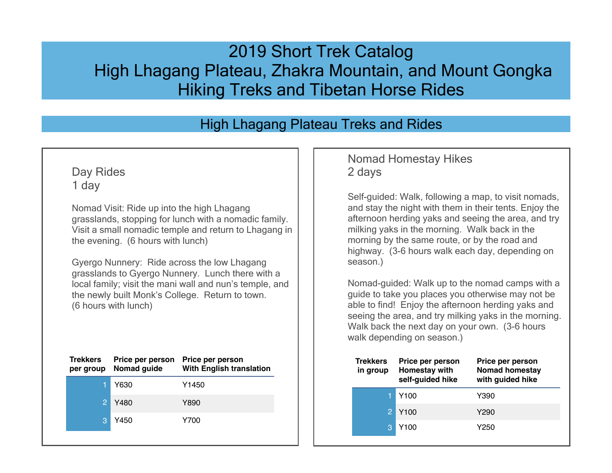# 2019 Short Trek Catalog High Lhagang Plateau, Zhakra Mountain, and Mount Gongka Hiking Treks and Tibetan Horse Rides

## High Lhagang Plateau Treks and Rides

### Day Rides 1 day

Nomad Visit: Ride up into the high Lhagang grasslands, stopping for lunch with a nomadic family. Visit a small nomadic temple and return to Lhagang in the evening. (6 hours with lunch)

Gyergo Nunnery: Ride across the low Lhagang grasslands to Gyergo Nunnery. Lunch there with a local family; visit the mani wall and nun's temple, and the newly built Monk's College. Return to town. (6 hours with lunch)

| <b>Trekkers</b><br>per group | Price per person<br>Nomad guide | Price per person<br><b>With English translation</b> |
|------------------------------|---------------------------------|-----------------------------------------------------|
|                              | Y630                            | Y1450                                               |
|                              | Y480                            | Y890                                                |
| 3                            | Y450                            | Y700                                                |
|                              |                                 |                                                     |

#### Nomad Homestay Hikes 2 days

Self-guided: Walk, following a map, to visit nomads, and stay the night with them in their tents. Enjoy the afternoon herding yaks and seeing the area, and try milking yaks in the morning. Walk back in the morning by the same route, or by the road and highway. (3-6 hours walk each day, depending on season.)

Nomad-guided: Walk up to the nomad camps with a guide to take you places you otherwise may not be able to find! Enjoy the afternoon herding yaks and seeing the area, and try milking yaks in the morning. Walk back the next day on your own. (3-6 hours walk depending on season.)

| <b>Trekkers</b><br>in group | Price per person<br>Homestay with<br>self-guided hike | Price per person<br>Nomad homestay<br>with guided hike |
|-----------------------------|-------------------------------------------------------|--------------------------------------------------------|
|                             | Y <sub>100</sub>                                      | Y390                                                   |
|                             | Y <sub>100</sub>                                      | Y290                                                   |
| 3                           | Y100                                                  | Y250                                                   |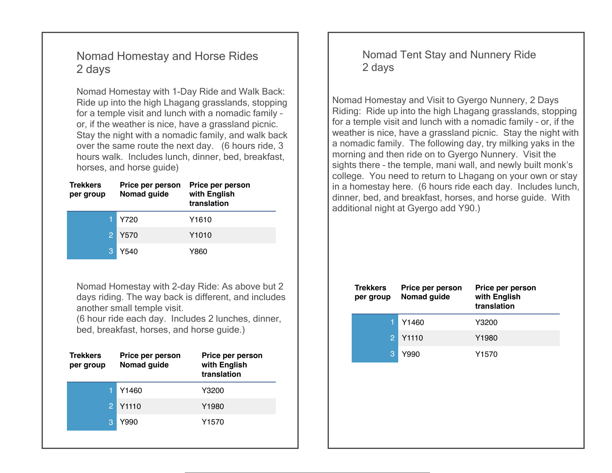## Nomad Homestay and Horse Rides 2 days

Nomad Homestay with 1-Day Ride and Walk Back: Ride up into the high Lhagang grasslands, stopping for a temple visit and lunch with a nomadic family – or, if the weather is nice, have a grassland picnic. Stay the night with a nomadic family, and walk back over the same route the next day. (6 hours ride, 3 hours walk. Includes lunch, dinner, bed, breakfast, horses, and horse guide)

| <b>Trekkers</b><br>per group | Price per person<br>Nomad guide | Price per person<br>with English<br>translation |
|------------------------------|---------------------------------|-------------------------------------------------|
|                              | Y720                            | Y1610                                           |
|                              | Y570                            | Y1010                                           |
| З                            | Y540                            | Y860                                            |

Nomad Homestay with 2-day Ride: As above but 2 days riding. The way back is different, and includes another small temple visit.

(6 hour ride each day. Includes 2 lunches, dinner, bed, breakfast, horses, and horse guide.)

| <b>Trekkers</b><br>per group | Price per person<br>Nomad guide | Price per person<br>with English<br>translation |
|------------------------------|---------------------------------|-------------------------------------------------|
|                              | Y1460                           | Y3200                                           |
|                              | Y1110                           | Y1980                                           |
| З                            | Y990                            | Y1570                                           |
|                              |                                 |                                                 |

Nomad Tent Stay and Nunnery Ride 2 days

Nomad Homestay and Visit to Gyergo Nunnery, 2 Days Riding: Ride up into the high Lhagang grasslands, stopping for a temple visit and lunch with a nomadic family – or, if the weather is nice, have a grassland picnic. Stay the night with a nomadic family. The following day, try milking yaks in the morning and then ride on to Gyergo Nunnery. Visit the sights there – the temple, mani wall, and newly built monk's college. You need to return to Lhagang on your own or stay in a homestay here. (6 hours ride each day. Includes lunch, dinner, bed, and breakfast, horses, and horse guide. With additional night at Gyergo add Y90.)

| <b>Trekkers</b><br>per group | Price per person<br>Nomad guide | Price per person<br>with English<br>translation |
|------------------------------|---------------------------------|-------------------------------------------------|
|                              | Y1460                           | Y3200                                           |
| $\mathcal{P}$                | Y1110                           | Y1980                                           |
|                              | Y990                            | Y1570                                           |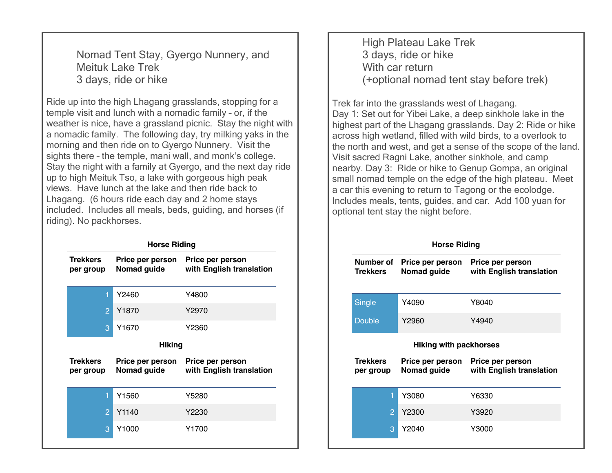Nomad Tent Stay, Gyergo Nunnery, and Meituk Lake Trek 3 days, ride or hike

Ride up into the high Lhagang grasslands, stopping for a temple visit and lunch with a nomadic family – or, if the weather is nice, have a grassland picnic. Stay the night with a nomadic family. The following day, try milking yaks in the morning and then ride on to Gyergo Nunnery. Visit the sights there – the temple, mani wall, and monk's college. Stay the night with a family at Gyergo, and the next day ride up to high Meituk Tso, a lake with gorgeous high peak views. Have lunch at the lake and then ride back to Lhagang. (6 hours ride each day and 2 home stays included. Includes all meals, beds, guiding, and horses (if riding). No packhorses.

|                              | <b>Horse Riding</b>             |                                              |
|------------------------------|---------------------------------|----------------------------------------------|
| <b>Trekkers</b><br>per group | Price per person<br>Nomad guide | Price per person<br>with English translation |
| 1                            | Y2460                           | Y4800                                        |
| $\overline{2}$               | Y <sub>1870</sub>               | Y2970                                        |
| 3                            | Y1670                           | Y2360                                        |
|                              | <b>Hiking</b>                   |                                              |
| <b>Trekkers</b><br>per group | Price per person<br>Nomad guide | Price per person<br>with English translation |
| 1                            | Y1560                           | Y5280                                        |
| $\overline{2}$               | Y1140                           | Y2230                                        |
|                              |                                 |                                              |

High Plateau Lake Trek 3 days, ride or hike With car return (+optional nomad tent stay before trek)

Trek far into the grasslands west of Lhagang. Day 1: Set out for Yibei Lake, a deep sinkhole lake in the highest part of the Lhagang grasslands. Day 2: Ride or hike across high wetland, filled with wild birds, to a overlook to the north and west, and get a sense of the scope of the land. Visit sacred Ragni Lake, another sinkhole, and camp nearby. Day 3: Ride or hike to Genup Gompa, an original small nomad temple on the edge of the high plateau. Meet a car this evening to return to Tagong or the ecolodge. Includes meals, tents, guides, and car. Add 100 yuan for optional tent stay the night before.

**Horse Riding**

| Number of<br><b>Trekkers</b> | Price per person<br>Nomad guide | Price per person<br>with English translation |
|------------------------------|---------------------------------|----------------------------------------------|
| Single                       | Y4090                           | Y8040                                        |
| Double                       | Y2960                           | Y4940                                        |
|                              | Hiking with packhorses          |                                              |
|                              |                                 |                                              |
| <b>Trekkers</b><br>per group | Price per person<br>Nomad guide | Price per person<br>with English translation |
| 1                            | Y3080                           | Y6330                                        |
| $\overline{P}$               | Y2300                           | Y3920                                        |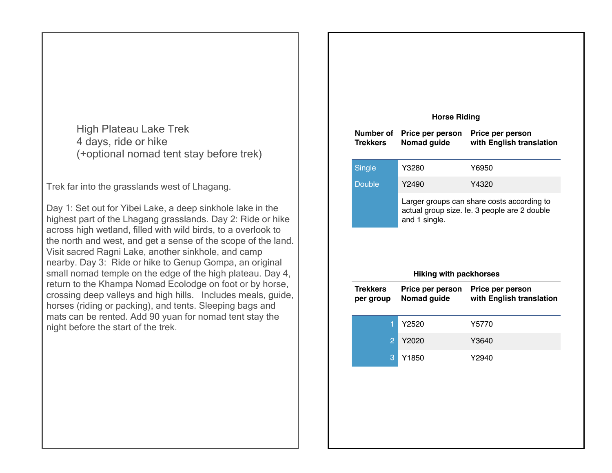High Plateau Lake Trek 4 days, ride or hike (+optional nomad tent stay before trek)

Trek far into the grasslands west of Lhagang.

Day 1: Set out for Yibei Lake, a deep sinkhole lake in the highest part of the Lhagang grasslands. Day 2: Ride or hike across high wetland, filled with wild birds, to a overlook to the north and west, and get a sense of the scope of the land. Visit sacred Ragni Lake, another sinkhole, and camp nearby. Day 3: Ride or hike to Genup Gompa, an original small nomad temple on the edge of the high plateau. Day 4, return to the Khampa Nomad Ecolodge on foot or by horse, crossing deep valleys and high hills. Includes meals, guide, horses (riding or packing), and tents. Sleeping bags and mats can be rented. Add 90 yuan for nomad tent stay the night before the start of the trek.

|                              | <b>Horse Riding</b>                            |                                              |
|------------------------------|------------------------------------------------|----------------------------------------------|
| Number of<br><b>Trekkers</b> | Price per person<br>Nomad guide                | Price per person<br>with English translation |
| <b>Single</b>                | Y3280                                          | Y6950                                        |
| <b>Double</b>                | Y2490                                          | Y4320                                        |
|                              |                                                | Larger groups can share costs according to   |
|                              | and 1 single.<br><b>Hiking with packhorses</b> | actual group size. le. 3 people are 2 double |
| <b>Trekkers</b><br>per group | Price per person<br>Nomad guide                | Price per person<br>with English translation |
| 1                            | Y2520                                          | Y5770                                        |
| $\overline{2}$               | Y2020                                          | Y3640                                        |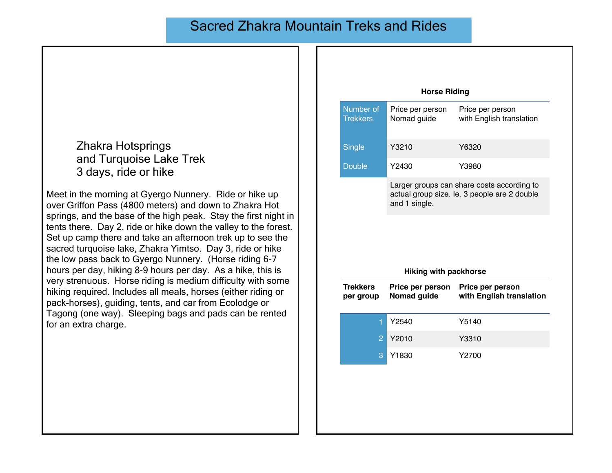## Sacred Zhakra Mountain Treks and Rides

Zhakra Hotsprings and Turquoise Lake Trek 3 days, ride or hike

Meet in the morning at Gyergo Nunnery. Ride or hike up over Griffon Pass (4800 meters) and down to Zhakra Hot springs, and the base of the high peak. Stay the first night in tents there. Day 2, ride or hike down the valley to the forest. Set up camp there and take an afternoon trek up to see the sacred turquoise lake, Zhakra Yimtso. Day 3, ride or hike the low pass back to Gyergo Nunnery. (Horse riding 6-7 hours per day, hiking 8-9 hours per day. As a hike, this is very strenuous. Horse riding is medium difficulty with some hiking required. Includes all meals, horses (either riding or pack-horses), guiding, tents, and car from Ecolodge or Tagong (one way). Sleeping bags and pads can be rented for an extra charge.

|                              | <b>Horse Riding</b>             |                                                                                            |
|------------------------------|---------------------------------|--------------------------------------------------------------------------------------------|
| Number of<br><b>Trekkers</b> | Price per person<br>Nomad guide | Price per person<br>with English translation                                               |
| Single                       | Y3210                           | Y6320                                                                                      |
| <b>Double</b>                | Y2430                           | Y3980                                                                                      |
|                              | and 1 single.                   | Larger groups can share costs according to<br>actual group size. le. 3 people are 2 double |
|                              |                                 |                                                                                            |
|                              | <b>Hiking with packhorse</b>    |                                                                                            |
| <b>Trekkers</b><br>per group | Price per person<br>Nomad guide | Price per person<br>with English translation                                               |
| 1                            | Y2540                           | Y5140                                                                                      |
| $\overline{2}$               | Y2010                           | Y3310                                                                                      |
| 3                            | Y1830                           | Y2700                                                                                      |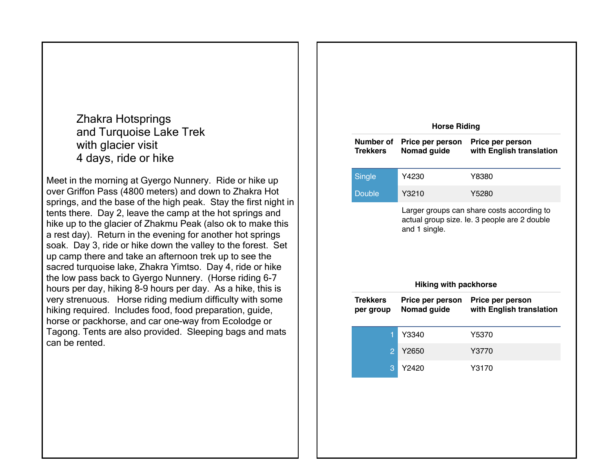Zhakra Hotsprings and Turquoise Lake Trek with glacier visit 4 days, ride or hike

Meet in the morning at Gyergo Nunnery. Ride or hike up over Griffon Pass (4800 meters) and down to Zhakra Hot springs, and the base of the high peak. Stay the first night in tents there. Day 2, leave the camp at the hot springs and hike up to the glacier of Zhakmu Peak (also ok to make this a rest day). Return in the evening for another hot springs soak. Day 3, ride or hike down the valley to the forest. Set up camp there and take an afternoon trek up to see the sacred turquoise lake, Zhakra Yimtso. Day 4, ride or hike the low pass back to Gyergo Nunnery. (Horse riding 6-7 hours per day, hiking 8-9 hours per day. As a hike, this is very strenuous. Horse riding medium difficulty with some hiking required. Includes food, food preparation, guide, horse or packhorse, and car one-way from Ecolodge or Tagong. Tents are also provided. Sleeping bags and mats can be rented.

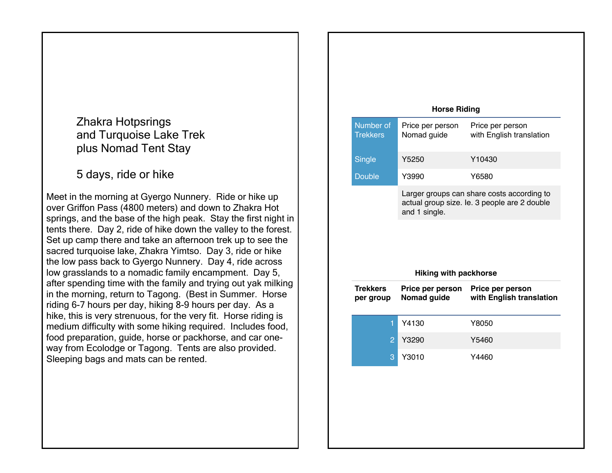Zhakra Hotpsrings and Turquoise Lake Trek plus Nomad Tent Stay

5 days, ride or hike

Meet in the morning at Gyergo Nunnery. Ride or hike up over Griffon Pass (4800 meters) and down to Zhakra Hot springs, and the base of the high peak. Stay the first night in tents there. Day 2, ride of hike down the valley to the forest. Set up camp there and take an afternoon trek up to see the sacred turquoise lake, Zhakra Yimtso. Day 3, ride or hike the low pass back to Gyergo Nunnery. Day 4, ride across low grasslands to a nomadic family encampment. Day 5, after spending time with the family and trying out yak milking in the morning, return to Tagong. (Best in Summer. Horse riding 6-7 hours per day, hiking 8-9 hours per day. As a hike, this is very strenuous, for the very fit. Horse riding is medium difficulty with some hiking required. Includes food, food preparation, guide, horse or packhorse, and car oneway from Ecolodge or Tagong. Tents are also provided. Sleeping bags and mats can be rented.

| Number of<br><b>Trekkers</b><br><b>Single</b> | <b>Horse Riding</b><br>Price per person<br>Nomad guide | Price per person                                                                           |
|-----------------------------------------------|--------------------------------------------------------|--------------------------------------------------------------------------------------------|
|                                               |                                                        |                                                                                            |
|                                               |                                                        | with English translation                                                                   |
|                                               | Y5250                                                  | Y10430                                                                                     |
| <b>Double</b>                                 | Y3990                                                  | Y6580                                                                                      |
|                                               | and 1 single.                                          | Larger groups can share costs according to<br>actual group size. le. 3 people are 2 double |
|                                               | <b>Hiking with packhorse</b>                           |                                                                                            |
| <b>Trekkers</b><br>per group                  | Price per person<br>Nomad guide                        | Price per person<br>with English translation                                               |
| 1                                             | Y4130                                                  | Y8050                                                                                      |
| $\overline{c}$                                | Y3290                                                  | Y5460                                                                                      |
| 3                                             | Y3010                                                  | Y4460                                                                                      |
|                                               |                                                        |                                                                                            |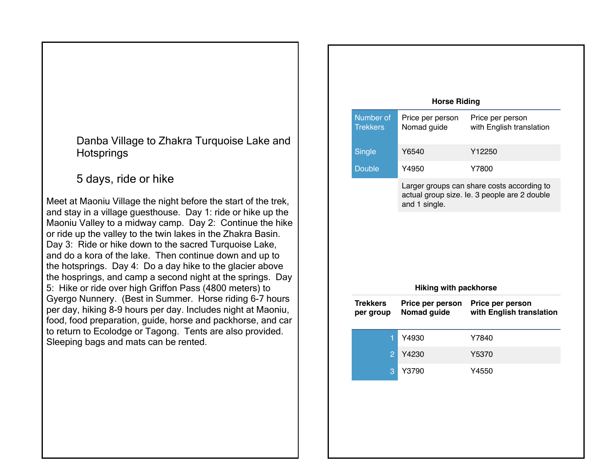Danba Village to Zhakra Turquoise Lake and **Hotsprings** 

5 days, ride or hike

Meet at Maoniu Village the night before the start of the trek, and stay in a village guesthouse. Day 1: ride or hike up the Maoniu Valley to a midway camp. Day 2: Continue the hike or ride up the valley to the twin lakes in the Zhakra Basin. Day 3: Ride or hike down to the sacred Turquoise Lake, and do a kora of the lake. Then continue down and up to the hotsprings. Day 4: Do a day hike to the glacier above the hosprings, and camp a second night at the springs. Day 5: Hike or ride over high Griffon Pass (4800 meters) to Gyergo Nunnery. (Best in Summer. Horse riding 6-7 hours per day, hiking 8-9 hours per day. Includes night at Maoniu, food, food preparation, guide, horse and packhorse, and car to return to Ecolodge or Tagong. Tents are also provided. Sleeping bags and mats can be rented.

|                              | <b>Horse Riding</b>             |                                              |
|------------------------------|---------------------------------|----------------------------------------------|
| Number of<br><b>Trekkers</b> | Price per person<br>Nomad guide | Price per person<br>with English translation |
| Single                       | Y6540                           | Y12250                                       |
| <b>Double</b>                | Y4950                           | Y7800                                        |
|                              |                                 | Larger groups can share costs according to   |
|                              | and 1 single.                   | actual group size. le. 3 people are 2 double |
|                              | <b>Hiking with packhorse</b>    |                                              |
| <b>Trekkers</b><br>per group | Price per person<br>Nomad guide | Price per person<br>with English translation |
| 1                            | Y4930                           | Y7840                                        |
| $\overline{2}$               | Y4230                           | Y5370                                        |